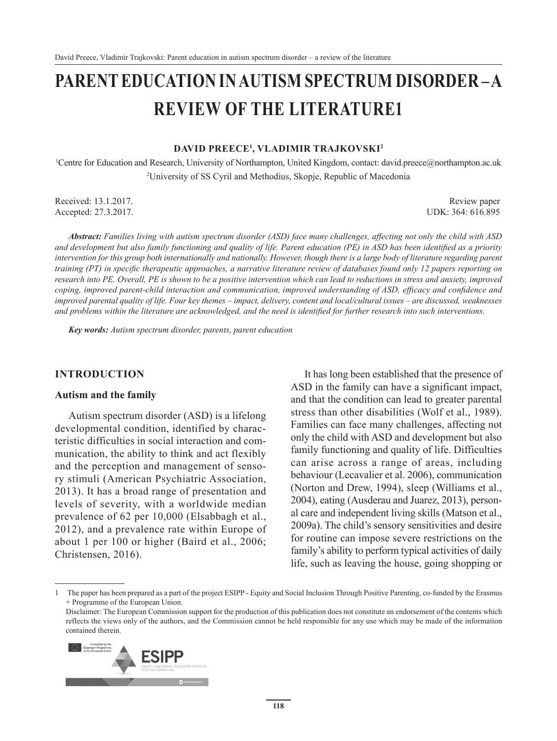# **PARENT EDUCATION IN AUTISM SPECTRUM DISORDER – A REVIEW OF THE LITERATURE1**

#### **DAVID PREECE1 , VLADIMIR TRAJKOVSKI<sup>2</sup>**

1 Centre for Education and Research, University of Northampton, United Kingdom, contact: david.preece@northampton.ac.uk 2 University of SS Cyril and Methodius, Skopje, Republic of Macedonia

Received: 13.1.2017. Review paper Accepted: 27.3.2017. UDK: 364: 616.895

*Abstract: Families living with autism spectrum disorder (ASD) face many challenges, affecting not only the child with ASD and development but also family functioning and quality of life. Parent education (PE) in ASD has been identified as a priority intervention for this group both internationally and nationally. However, though there is a large body of literature regarding parent training (PT) in specific therapeutic approaches, a narrative literature review of databases found only 12 papers reporting on research into PE. Overall, PE is shown to be a positive intervention which can lead to reductions in stress and anxiety, improved coping, improved parent-child interaction and communication, improved understanding of ASD, efficacy and confidence and improved parental quality of life. Four key themes – impact, delivery, content and local/cultural issues – are discussed, weaknesses and problems within the literature are acknowledged, and the need is identified for further research into such interventions.*

*Key words: Autism spectrum disorder, parents, parent education*

#### **INTRODUCTION**

#### **Autism and the family**

Autism spectrum disorder (ASD) is a lifelong developmental condition, identified by characteristic difficulties in social interaction and communication, the ability to think and act flexibly and the perception and management of sensory stimuli (American Psychiatric Association, 2013). It has a broad range of presentation and levels of severity, with a worldwide median prevalence of 62 per 10,000 (Elsabbagh et al., 2012), and a prevalence rate within Europe of about 1 per 100 or higher (Baird et al., 2006; Christensen, 2016).

It has long been established that the presence of ASD in the family can have a significant impact, and that the condition can lead to greater parental stress than other disabilities (Wolf et al., 1989). Families can face many challenges, affecting not only the child with ASD and development but also family functioning and quality of life. Difficulties can arise across a range of areas, including behaviour (Lecavalier et al. 2006), communication (Norton and Drew, 1994), sleep (Williams et al., 2004), eating (Ausderau and Juarez, 2013), personal care and independent living skills (Matson et al., 2009a). The child's sensory sensitivities and desire for routine can impose severe restrictions on the family's ability to perform typical activities of daily life, such as leaving the house, going shopping or

Disclaimer: The European Commission support for the production of this publication does not constitute an endorsement of the contents which reflects the views only of the authors, and the Commission cannot be held responsible for any use which may be made of the information contained therein.



<sup>1</sup> The paper has been prepared as a part of the project ESIPP - Equity and Social Inclusion Through Positive Parenting, co-funded by the Erasmus + Programme of the European Union.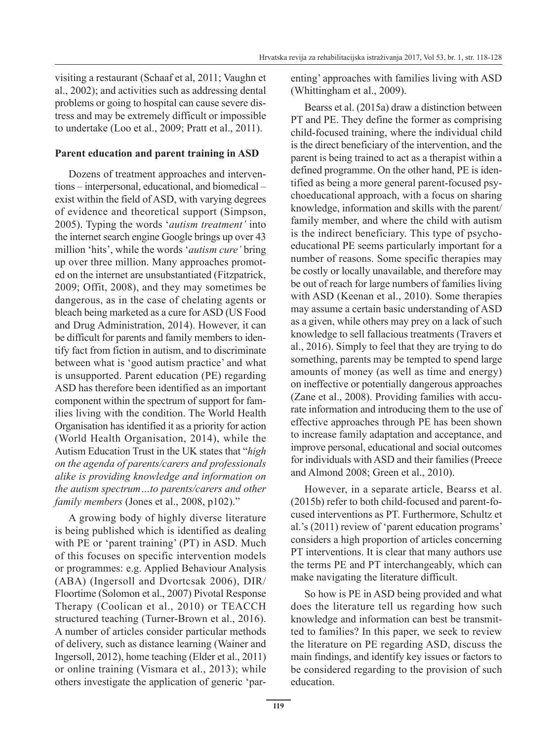visiting a restaurant (Schaaf et al, 2011; Vaughn et al., 2002); and activities such as addressing dental problems or going to hospital can cause severe distress and may be extremely difficult or impossible to undertake (Loo et al., 2009; Pratt et al., 2011).

### **Parent education and parent training in ASD**

Dozens of treatment approaches and interventions – interpersonal, educational, and biomedical – exist within the field of ASD, with varying degrees of evidence and theoretical support (Simpson, 2005). Typing the words '*autism treatment'* into the internet search engine Google brings up over 43 million 'hits', while the words '*autism cure'* bring up over three million. Many approaches promoted on the internet are unsubstantiated (Fitzpatrick, 2009; Offit, 2008), and they may sometimes be dangerous, as in the case of chelating agents or bleach being marketed as a cure for ASD (US Food and Drug Administration, 2014). However, it can be difficult for parents and family members to identify fact from fiction in autism, and to discriminate between what is 'good autism practice' and what is unsupported. Parent education (PE) regarding ASD has therefore been identified as an important component within the spectrum of support for families living with the condition. The World Health Organisation has identified it as a priority for action (World Health Organisation, 2014), while the Autism Education Trust in the UK states that "*high on the agenda of parents/carers and professionals alike is providing knowledge and information on the autism spectrum…to parents/carers and other family members (Jones et al., 2008, p102).*"

A growing body of highly diverse literature is being published which is identified as dealing with PE or 'parent training' (PT) in ASD. Much of this focuses on specific intervention models or programmes: e.g. Applied Behaviour Analysis (ABA) (Ingersoll and Dvortcsak 2006), DIR/ Floortime (Solomon et al., 2007) Pivotal Response Therapy (Coolican et al., 2010) or TEACCH structured teaching (Turner-Brown et al., 2016). A number of articles consider particular methods of delivery, such as distance learning (Wainer and Ingersoll, 2012), home teaching (Elder et al., 2011) or online training (Vismara et al., 2013); while others investigate the application of generic 'parenting' approaches with families living with ASD (Whittingham et al., 2009).

Bearss et al. (2015a) draw a distinction between PT and PE. They define the former as comprising child-focused training, where the individual child is the direct beneficiary of the intervention, and the parent is being trained to act as a therapist within a defined programme. On the other hand, PE is identified as being a more general parent-focused psychoeducational approach, with a focus on sharing knowledge, information and skills with the parent/ family member, and where the child with autism is the indirect beneficiary. This type of psychoeducational PE seems particularly important for a number of reasons. Some specific therapies may be costly or locally unavailable, and therefore may be out of reach for large numbers of families living with ASD (Keenan et al., 2010). Some therapies may assume a certain basic understanding of ASD as a given, while others may prey on a lack of such knowledge to sell fallacious treatments (Travers et al., 2016). Simply to feel that they are trying to do something, parents may be tempted to spend large amounts of money (as well as time and energy) on ineffective or potentially dangerous approaches (Zane et al., 2008). Providing families with accurate information and introducing them to the use of effective approaches through PE has been shown to increase family adaptation and acceptance, and improve personal, educational and social outcomes for individuals with ASD and their families (Preece and Almond 2008; Green et al., 2010).

However, in a separate article, Bearss et al. (2015b) refer to both child-focused and parent-focused interventions as PT. Furthermore, Schultz et al.'s (2011) review of 'parent education programs' considers a high proportion of articles concerning PT interventions. It is clear that many authors use the terms PE and PT interchangeably, which can make navigating the literature difficult.

So how is PE in ASD being provided and what does the literature tell us regarding how such knowledge and information can best be transmitted to families? In this paper, we seek to review the literature on PE regarding ASD, discuss the main findings, and identify key issues or factors to be considered regarding to the provision of such education.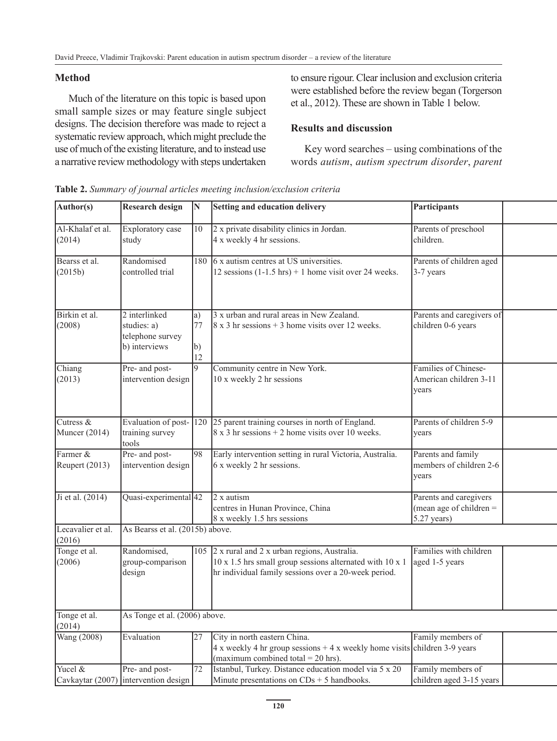## **Method**

Much of the literature on this topic is based upon small sample sizes or may feature single subject designs. The decision therefore was made to reject a systematic review approach, which might preclude the use of much of the existing literature, and to instead use a narrative review methodology with steps undertaken to ensure rigour. Clear inclusion and exclusion criteria were established before the review began (Torgerson et al., 2012). These are shown in Table 1 below.

## **Results and discussion**

Key word searches – using combinations of the words *autism*, *autism spectrum disorder*, *parent* 

| Author(s)                    | <b>Research design</b>                                            |                         | Setting and education delivery                                                                                                                                      | Participants                                                         |  |
|------------------------------|-------------------------------------------------------------------|-------------------------|---------------------------------------------------------------------------------------------------------------------------------------------------------------------|----------------------------------------------------------------------|--|
| Al-Khalaf et al.<br>(2014)   | Exploratory case<br>study                                         | 10                      | 2 x private disability clinics in Jordan.<br>4 x weekly 4 hr sessions.                                                                                              | Parents of preschool<br>children.                                    |  |
| Bearss et al.<br>(2015b)     | Randomised<br>controlled trial                                    |                         | 180 6 x autism centres at US universities.<br>12 sessions $(1-1.5 \text{ hrs}) + 1$ home visit over 24 weeks.                                                       | Parents of children aged<br>3-7 years                                |  |
| Birkin et al.<br>(2008)      | 2 interlinked<br>studies: a)<br>telephone survey<br>b) interviews | $ a\rangle$<br>77<br>12 | 3 x urban and rural areas in New Zealand.<br>$8 \times 3$ hr sessions + 3 home visits over 12 weeks.                                                                | Parents and caregivers of<br>children 0-6 years                      |  |
| Chiang<br>(2013)             | Pre- and post-<br>intervention design                             |                         | Community centre in New York.<br>10 x weekly 2 hr sessions                                                                                                          | Families of Chinese-<br>American children 3-11<br>years              |  |
| Cutress &<br>Muncer $(2014)$ | training survey<br>tools                                          |                         | Evaluation of post-120 25 parent training courses in north of England.<br>$8 \times 3$ hr sessions + 2 home visits over 10 weeks.                                   | Parents of children 5-9<br>years                                     |  |
| Farmer &<br>Reupert (2013)   | Pre- and post-<br>intervention design                             | 98                      | Early intervention setting in rural Victoria, Australia.<br>6 x weekly 2 hr sessions.                                                                               | Parents and family<br>members of children 2-6<br>years               |  |
| Ji et al. (2014)             | Quasi-experimental 42                                             |                         | $2x$ autism<br>centres in Hunan Province, China<br>8 x weekly 1.5 hrs sessions                                                                                      | Parents and caregivers<br>(mean age of children $=$<br>$5.27$ years) |  |
| Lecavalier et al.<br>(2016)  | As Bearss et al. (2015b) above.                                   |                         |                                                                                                                                                                     |                                                                      |  |
| Tonge et al.<br>(2006)       | Randomised,<br>group-comparison<br>design                         |                         | 105 2 x rural and 2 x urban regions, Australia.<br>10 x 1.5 hrs small group sessions alternated with 10 x 1<br>hr individual family sessions over a 20-week period. | Families with children<br>aged 1-5 years                             |  |
| Tonge et al.<br>(2014)       | As Tonge et al. (2006) above.                                     |                         |                                                                                                                                                                     |                                                                      |  |
| Wang (2008)                  | Evaluation                                                        | 127                     | City in north eastern China.<br>$4x$ weekly 4 hr group sessions + 4 x weekly home visits children 3-9 years<br>(maximum combined total = $20$ hrs).                 | Family members of                                                    |  |
| Yucel &                      | Pre- and post-<br>Cavkaytar (2007) intervention design            | 72                      | Istanbul, Turkey. Distance education model via 5 x 20<br>Minute presentations on $CDs + 5$ handbooks.                                                               | Family members of<br>children aged 3-15 years                        |  |

**Table 2.** *Summary of journal articles meeting inclusion/exclusion criteria*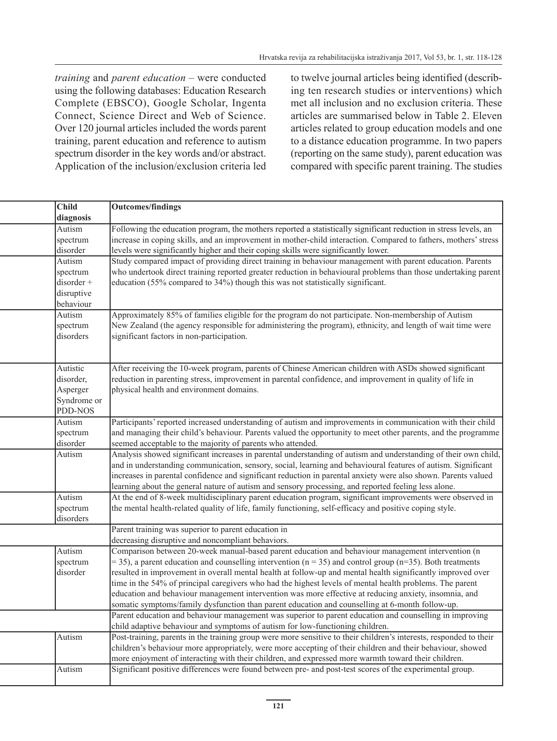*training* and *parent education* – were conducted using the following databases: Education Research Complete (EBSCO), Google Scholar, Ingenta Connect, Science Direct and Web of Science. Over 120 journal articles included the words parent training, parent education and reference to autism spectrum disorder in the key words and/or abstract. Application of the inclusion/exclusion criteria led to twelve journal articles being identified (describing ten research studies or interventions) which met all inclusion and no exclusion criteria. These articles are summarised below in Table 2. Eleven articles related to group education models and one to a distance education programme. In two papers (reporting on the same study), parent education was compared with specific parent training. The studies

| <b>Child</b>   | Outcomes/findings                                                                                                  |
|----------------|--------------------------------------------------------------------------------------------------------------------|
| diagnosis      |                                                                                                                    |
| Autism         | Following the education program, the mothers reported a statistically significant reduction in stress levels, an   |
| spectrum       | increase in coping skills, and an improvement in mother-child interaction. Compared to fathers, mothers' stress    |
| disorder       | levels were significantly higher and their coping skills were significantly lower.                                 |
| Autism         | Study compared impact of providing direct training in behaviour management with parent education. Parents          |
| spectrum       | who undertook direct training reported greater reduction in behavioural problems than those undertaking parent     |
| disorder +     | education (55% compared to 34%) though this was not statistically significant.                                     |
| disruptive     |                                                                                                                    |
| behaviour      |                                                                                                                    |
| Autism         | Approximately 85% of families eligible for the program do not participate. Non-membership of Autism                |
| spectrum       | New Zealand (the agency responsible for administering the program), ethnicity, and length of wait time were        |
| disorders      | significant factors in non-participation.                                                                          |
|                |                                                                                                                    |
|                |                                                                                                                    |
| Autistic       | After receiving the 10-week program, parents of Chinese American children with ASDs showed significant             |
| disorder,      | reduction in parenting stress, improvement in parental confidence, and improvement in quality of life in           |
| Asperger       | physical health and environment domains.                                                                           |
| Syndrome or    |                                                                                                                    |
| <b>PDD-NOS</b> |                                                                                                                    |
| Autism         | Participants' reported increased understanding of autism and improvements in communication with their child        |
| spectrum       | and managing their child's behaviour. Parents valued the opportunity to meet other parents, and the programme      |
| disorder       | seemed acceptable to the majority of parents who attended.                                                         |
| Autism         | Analysis showed significant increases in parental understanding of autism and understanding of their own child,    |
|                | and in understanding communication, sensory, social, learning and behavioural features of autism. Significant      |
|                | increases in parental confidence and significant reduction in parental anxiety were also shown. Parents valued     |
|                | learning about the general nature of autism and sensory processing, and reported feeling less alone.               |
| Autism         | At the end of 8-week multidisciplinary parent education program, significant improvements were observed in         |
| spectrum       | the mental health-related quality of life, family functioning, self-efficacy and positive coping style.            |
| disorders      |                                                                                                                    |
|                | Parent training was superior to parent education in                                                                |
|                | decreasing disruptive and noncompliant behaviors.                                                                  |
| Autism         | Comparison between 20-week manual-based parent education and behaviour management intervention (n                  |
| spectrum       | $=$ 35), a parent education and counselling intervention (n = 35) and control group (n=35). Both treatments        |
| disorder       | resulted in improvement in overall mental health at follow-up and mental health significantly improved over        |
|                | time in the 54% of principal caregivers who had the highest levels of mental health problems. The parent           |
|                | education and behaviour management intervention was more effective at reducing anxiety, insomnia, and              |
|                | somatic symptoms/family dysfunction than parent education and counselling at 6-month follow-up.                    |
|                | Parent education and behaviour management was superior to parent education and counselling in improving            |
|                | child adaptive behaviour and symptoms of autism for low-functioning children.                                      |
| Autism         | Post-training, parents in the training group were more sensitive to their children's interests, responded to their |
|                | children's behaviour more appropriately, were more accepting of their children and their behaviour, showed         |
|                | more enjoyment of interacting with their children, and expressed more warmth toward their children.                |
| Autism         | Significant positive differences were found between pre- and post-test scores of the experimental group.           |
|                |                                                                                                                    |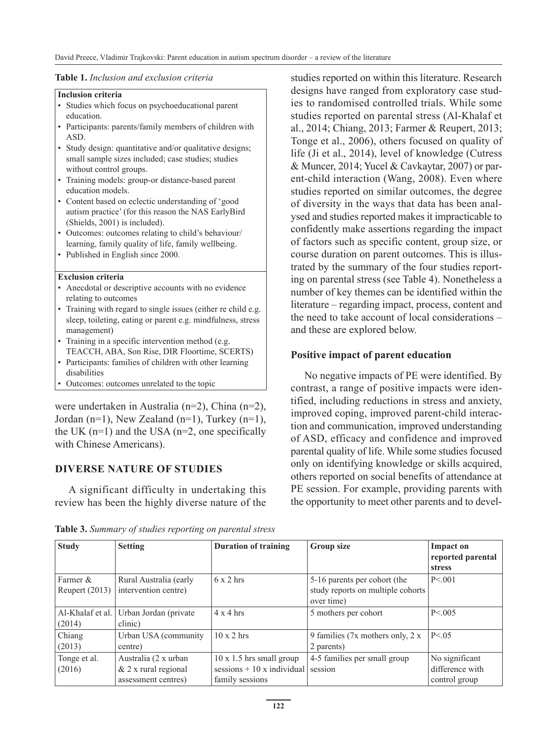#### **Table 1.** *Inclusion and exclusion criteria*

#### **Inclusion criteria**

- Studies which focus on psychoeducational parent education.
- Participants: parents/family members of children with ASD.
- Study design: quantitative and/or qualitative designs; small sample sizes included; case studies; studies without control groups.
- Training models: group-or distance-based parent education models.
- Content based on eclectic understanding of 'good autism practice' (for this reason the NAS EarlyBird (Shields, 2001) is included).
- Outcomes: outcomes relating to child's behaviour/ learning, family quality of life, family wellbeing.
- Published in English since 2000.

#### **Exclusion criteria**

- Anecdotal or descriptive accounts with no evidence relating to outcomes
- Training with regard to single issues (either re child e.g. sleep, toileting, eating or parent e.g. mindfulness, stress management)
- Training in a specific intervention method (e.g. TEACCH, ABA, Son Rise, DIR Floortime, SCERTS)
- Participants: families of children with other learning disabilities
- Outcomes: outcomes unrelated to the topic

were undertaken in Australia (n=2), China (n=2), Jordan (n=1), New Zealand (n=1), Turkey (n=1), the UK  $(n=1)$  and the USA  $(n=2)$ , one specifically with Chinese Americans).

## **DIVERSE NATURE OF STUDIES**

A significant difficulty in undertaking this review has been the highly diverse nature of the studies reported on within this literature. Research designs have ranged from exploratory case studies to randomised controlled trials. While some studies reported on parental stress (Al-Khalaf et al., 2014; Chiang, 2013; Farmer & Reupert, 2013; Tonge et al., 2006), others focused on quality of life (Ji et al., 2014), level of knowledge (Cutress & Muncer, 2014; Yucel & Cavkaytar, 2007) or parent-child interaction (Wang, 2008). Even where studies reported on similar outcomes, the degree of diversity in the ways that data has been analysed and studies reported makes it impracticable to confidently make assertions regarding the impact of factors such as specific content, group size, or course duration on parent outcomes. This is illustrated by the summary of the four studies reporting on parental stress (see Table 4). Nonetheless a number of key themes can be identified within the literature – regarding impact, process, content and the need to take account of local considerations – and these are explored below.

## **Positive impact of parent education**

No negative impacts of PE were identified. By contrast, a range of positive impacts were identified, including reductions in stress and anxiety, improved coping, improved parent-child interaction and communication, improved understanding of ASD, efficacy and confidence and improved parental quality of life. While some studies focused only on identifying knowledge or skills acquired, others reported on social benefits of attendance at PE session. For example, providing parents with the opportunity to meet other parents and to devel-

| <b>Study</b>     | <b>Setting</b>         | <b>Duration of training</b>     | <b>Group size</b>                               | Impact on         |
|------------------|------------------------|---------------------------------|-------------------------------------------------|-------------------|
|                  |                        |                                 |                                                 | reported parental |
|                  |                        |                                 |                                                 | <b>stress</b>     |
| Farmer &         | Rural Australia (early | $6 \times 2$ hrs                | 5-16 parents per cohort (the                    | P < 0.01          |
| Reupert $(2013)$ | intervention centre)   |                                 | study reports on multiple cohorts<br>over time) |                   |
| Al-Khalaf et al. | Urban Jordan (private  | $4 \times 4$ hrs                | 5 mothers per cohort                            | P < 005           |
| (2014)           | clinic)                |                                 |                                                 |                   |
| Chiang           | Urban USA (community)  | $10 \times 2$ hrs               | 9 families (7x mothers only, 2 x                | P < 0.05          |
| (2013)           | centre)                |                                 | 2 parents)                                      |                   |
| Tonge et al.     | Australia (2 x urban   | $10 \times 1.5$ hrs small group | 4-5 families per small group                    | No significant    |
| (2016)           | $& 2x$ rural regional  | sessions $+10x$ individual      | session                                         | difference with   |
|                  | assessment centres)    | family sessions                 |                                                 | control group     |

**Table 3.** *Summary of studies reporting on parental stress*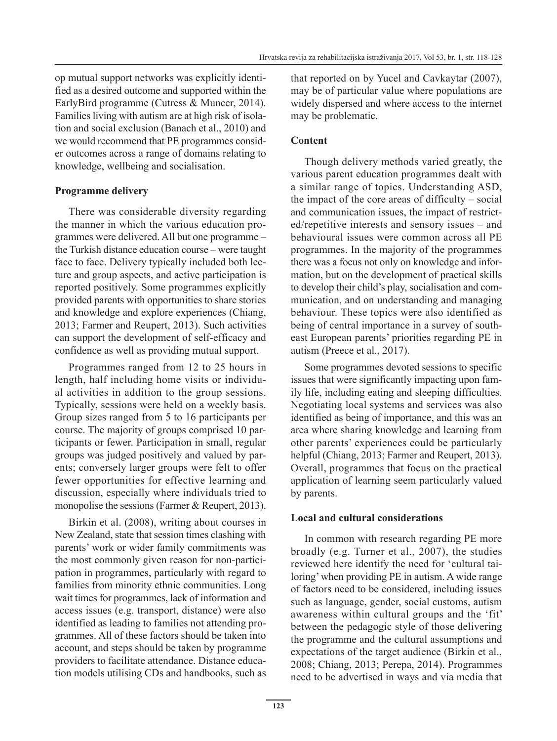op mutual support networks was explicitly identified as a desired outcome and supported within the EarlyBird programme (Cutress & Muncer, 2014). Families living with autism are at high risk of isolation and social exclusion (Banach et al., 2010) and we would recommend that PE programmes consider outcomes across a range of domains relating to knowledge, wellbeing and socialisation.

## **Programme delivery**

There was considerable diversity regarding the manner in which the various education programmes were delivered. All but one programme – the Turkish distance education course – were taught face to face. Delivery typically included both lecture and group aspects, and active participation is reported positively. Some programmes explicitly provided parents with opportunities to share stories and knowledge and explore experiences (Chiang, 2013; Farmer and Reupert, 2013). Such activities can support the development of self-efficacy and confidence as well as providing mutual support.

Programmes ranged from 12 to 25 hours in length, half including home visits or individual activities in addition to the group sessions. Typically, sessions were held on a weekly basis. Group sizes ranged from 5 to 16 participants per course. The majority of groups comprised 10 participants or fewer. Participation in small, regular groups was judged positively and valued by parents; conversely larger groups were felt to offer fewer opportunities for effective learning and discussion, especially where individuals tried to monopolise the sessions (Farmer & Reupert, 2013).

Birkin et al. (2008), writing about courses in New Zealand, state that session times clashing with parents' work or wider family commitments was the most commonly given reason for non-participation in programmes, particularly with regard to families from minority ethnic communities. Long wait times for programmes, lack of information and access issues (e.g. transport, distance) were also identified as leading to families not attending programmes. All of these factors should be taken into account, and steps should be taken by programme providers to facilitate attendance. Distance education models utilising CDs and handbooks, such as that reported on by Yucel and Cavkaytar (2007), may be of particular value where populations are widely dispersed and where access to the internet may be problematic.

## **Content**

Though delivery methods varied greatly, the various parent education programmes dealt with a similar range of topics. Understanding ASD, the impact of the core areas of difficulty – social and communication issues, the impact of restricted/repetitive interests and sensory issues – and behavioural issues were common across all PE programmes. In the majority of the programmes there was a focus not only on knowledge and information, but on the development of practical skills to develop their child's play, socialisation and communication, and on understanding and managing behaviour. These topics were also identified as being of central importance in a survey of southeast European parents' priorities regarding PE in autism (Preece et al., 2017).

Some programmes devoted sessions to specific issues that were significantly impacting upon family life, including eating and sleeping difficulties. Negotiating local systems and services was also identified as being of importance, and this was an area where sharing knowledge and learning from other parents' experiences could be particularly helpful (Chiang, 2013; Farmer and Reupert, 2013). Overall, programmes that focus on the practical application of learning seem particularly valued by parents.

## **Local and cultural considerations**

In common with research regarding PE more broadly (e.g. Turner et al., 2007), the studies reviewed here identify the need for 'cultural tailoring' when providing PE in autism. A wide range of factors need to be considered, including issues such as language, gender, social customs, autism awareness within cultural groups and the 'fit' between the pedagogic style of those delivering the programme and the cultural assumptions and expectations of the target audience (Birkin et al., 2008; Chiang, 2013; Perepa, 2014). Programmes need to be advertised in ways and via media that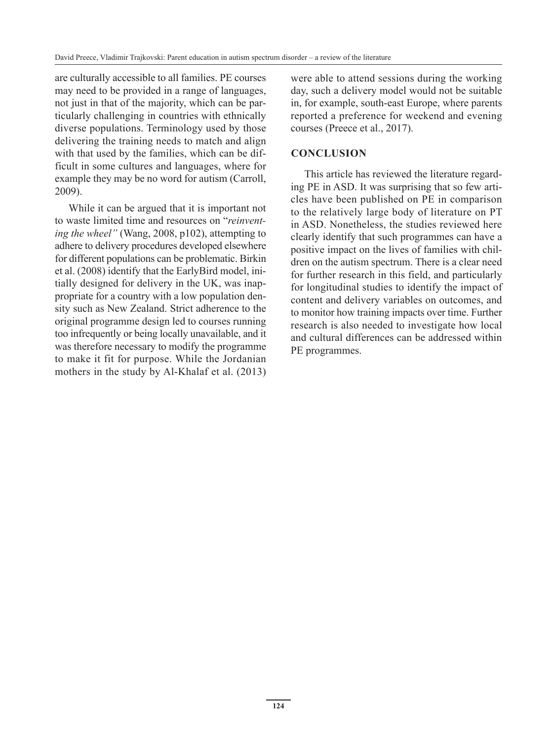are culturally accessible to all families. PE courses may need to be provided in a range of languages, not just in that of the majority, which can be particularly challenging in countries with ethnically diverse populations. Terminology used by those delivering the training needs to match and align with that used by the families, which can be difficult in some cultures and languages, where for example they may be no word for autism (Carroll, 2009).

While it can be argued that it is important not to waste limited time and resources on "*reinventing the wheel"* (Wang, 2008, p102), attempting to adhere to delivery procedures developed elsewhere for different populations can be problematic. Birkin et al. (2008) identify that the EarlyBird model, initially designed for delivery in the UK, was inappropriate for a country with a low population density such as New Zealand. Strict adherence to the original programme design led to courses running too infrequently or being locally unavailable, and it was therefore necessary to modify the programme to make it fit for purpose. While the Jordanian mothers in the study by Al-Khalaf et al. (2013) were able to attend sessions during the working day, such a delivery model would not be suitable in, for example, south-east Europe, where parents reported a preference for weekend and evening courses (Preece et al., 2017).

## **CONCLUSION**

This article has reviewed the literature regarding PE in ASD. It was surprising that so few articles have been published on PE in comparison to the relatively large body of literature on PT in ASD. Nonetheless, the studies reviewed here clearly identify that such programmes can have a positive impact on the lives of families with children on the autism spectrum. There is a clear need for further research in this field, and particularly for longitudinal studies to identify the impact of content and delivery variables on outcomes, and to monitor how training impacts over time. Further research is also needed to investigate how local and cultural differences can be addressed within PE programmes.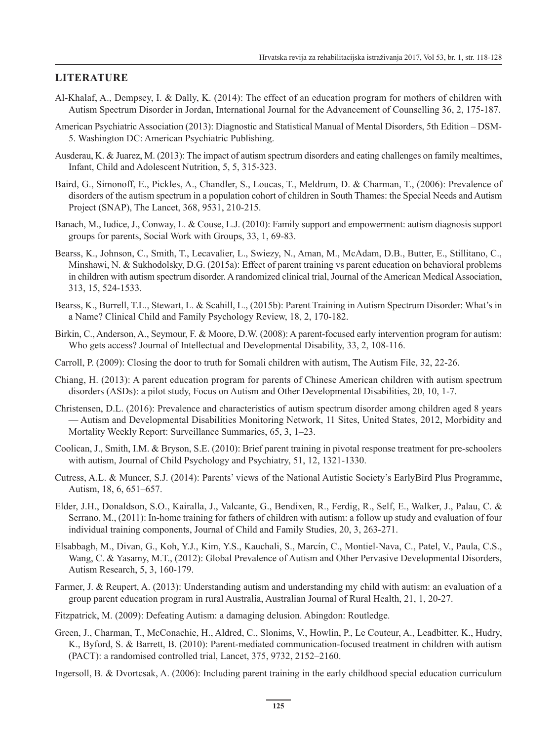## **LITERATURE**

- Al-Khalaf, A., Dempsey, I. & Dally, K. (2014): The effect of an education program for mothers of children with Autism Spectrum Disorder in Jordan, International Journal for the Advancement of Counselling 36, 2, 175-187.
- American Psychiatric Association (2013): Diagnostic and Statistical Manual of Mental Disorders, 5th Edition DSM-5. Washington DC: American Psychiatric Publishing.
- Ausderau, K. & Juarez, M. (2013): The impact of autism spectrum disorders and eating challenges on family mealtimes, Infant, Child and Adolescent Nutrition, 5, 5, 315-323.
- Baird, G., Simonoff, E., Pickles, A., Chandler, S., Loucas, T., Meldrum, D. & Charman, T., (2006): Prevalence of disorders of the autism spectrum in a population cohort of children in South Thames: the Special Needs and Autism Project (SNAP), The Lancet, 368, 9531, 210-215.
- Banach, M., Iudice, J., Conway, L. & Couse, L.J. (2010): Family support and empowerment: autism diagnosis support groups for parents, Social Work with Groups, 33, 1, 69-83.
- Bearss, K., Johnson, C., Smith, T., Lecavalier, L., Swiezy, N., Aman, M., McAdam, D.B., Butter, E., Stillitano, C., Minshawi, N. & Sukhodolsky, D.G. (2015a): Effect of parent training vs parent education on behavioral problems in children with autism spectrum disorder. A randomized clinical trial, Journal of the American Medical Association, 313, 15, 524-1533.
- Bearss, K., Burrell, T.L., Stewart, L. & Scahill, L., (2015b): Parent Training in Autism Spectrum Disorder: What's in a Name? Clinical Child and Family Psychology Review, 18, 2, 170-182.
- Birkin, C., Anderson, A., Seymour, F. & Moore, D.W. (2008): A parent-focused early intervention program for autism: Who gets access? Journal of Intellectual and Developmental Disability, 33, 2, 108-116.
- Carroll, P. (2009): Closing the door to truth for Somali children with autism, The Autism File, 32, 22-26.
- Chiang, H. (2013): A parent education program for parents of Chinese American children with autism spectrum disorders (ASDs): a pilot study, Focus on Autism and Other Developmental Disabilities, 20, 10, 1-7.
- Christensen, D.L. (2016): Prevalence and characteristics of autism spectrum disorder among children aged 8 years — Autism and Developmental Disabilities Monitoring Network, 11 Sites, United States, 2012, Morbidity and Mortality Weekly Report: Surveillance Summaries, 65, 3, 1–23.
- Coolican, J., Smith, I.M. & Bryson, S.E. (2010): Brief parent training in pivotal response treatment for pre-schoolers with autism, Journal of Child Psychology and Psychiatry, 51, 12, 1321-1330.
- Cutress, A.L. & Muncer, S.J. (2014): Parents' views of the National Autistic Society's EarlyBird Plus Programme, Autism, 18, 6, 651–657.
- Elder, J.H., Donaldson, S.O., Kairalla, J., Valcante, G., Bendixen, R., Ferdig, R., Self, E., Walker, J., Palau, C. & Serrano, M., (2011): In-home training for fathers of children with autism: a follow up study and evaluation of four individual training components, Journal of Child and Family Studies, 20, 3, 263-271.
- Elsabbagh, M., Divan, G., Koh, Y.J., Kim, Y.S., Kauchali, S., Marcín, C., Montiel-Nava, C., Patel, V., Paula, C.S., Wang, C. & Yasamy, M.T., (2012): Global Prevalence of Autism and Other Pervasive Developmental Disorders, Autism Research, 5, 3, 160-179.
- Farmer, J. & Reupert, A. (2013): Understanding autism and understanding my child with autism: an evaluation of a group parent education program in rural Australia, Australian Journal of Rural Health, 21, 1, 20-27.
- Fitzpatrick, M. (2009): Defeating Autism: a damaging delusion. Abingdon: Routledge.
- Green, J., Charman, T., McConachie, H., Aldred, C., Slonims, V., Howlin, P., Le Couteur, A., Leadbitter, K., Hudry, K., Byford, S. & Barrett, B. (2010): Parent-mediated communication-focused treatment in children with autism (PACT): a randomised controlled trial, Lancet, 375, 9732, 2152–2160.

Ingersoll, B. & Dvortcsak, A. (2006): Including parent training in the early childhood special education curriculum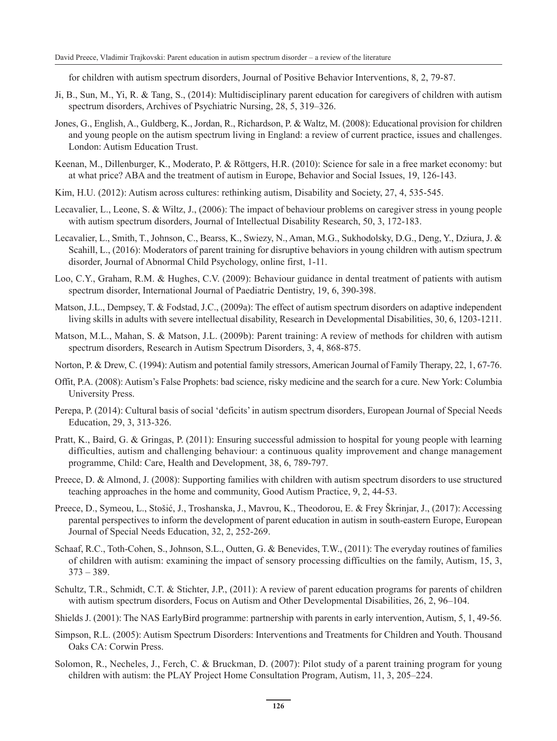for children with autism spectrum disorders, Journal of Positive Behavior Interventions, 8, 2, 79-87.

- Ji, B., Sun, M., Yi, R. & Tang, S., (2014): Multidisciplinary parent education for caregivers of children with autism spectrum disorders, Archives of Psychiatric Nursing, 28, 5, 319–326.
- Jones, G., English, A., Guldberg, K., Jordan, R., Richardson, P. & Waltz, M. (2008): Educational provision for children and young people on the autism spectrum living in England: a review of current practice, issues and challenges. London: Autism Education Trust.
- Keenan, M., Dillenburger, K., Moderato, P. & Röttgers, H.R. (2010): Science for sale in a free market economy: but at what price? ABA and the treatment of autism in Europe, Behavior and Social Issues, 19, 126-143.
- Kim, H.U. (2012): Autism across cultures: rethinking autism, Disability and Society, 27, 4, 535-545.
- Lecavalier, L., Leone, S. & Wiltz, J., (2006): The impact of behaviour problems on caregiver stress in young people with autism spectrum disorders, Journal of Intellectual Disability Research, 50, 3, 172-183.
- Lecavalier, L., Smith, T., Johnson, C., Bearss, K., Swiezy, N., Aman, M.G., Sukhodolsky, D.G., Deng, Y., Dziura, J. & Scahill, L., (2016): Moderators of parent training for disruptive behaviors in young children with autism spectrum disorder, Journal of Abnormal Child Psychology, online first, 1-11.
- Loo, C.Y., Graham, R.M. & Hughes, C.V. (2009): Behaviour guidance in dental treatment of patients with autism spectrum disorder, International Journal of Paediatric Dentistry, 19, 6, 390-398.
- Matson, J.L., Dempsey, T. & Fodstad, J.C., (2009a): The effect of autism spectrum disorders on adaptive independent living skills in adults with severe intellectual disability, Research in Developmental Disabilities, 30, 6, 1203-1211.
- Matson, M.L., Mahan, S. & Matson, J.L. (2009b): Parent training: A review of methods for children with autism spectrum disorders, Research in Autism Spectrum Disorders, 3, 4, 868-875.
- Norton, P. & Drew, C. (1994): Autism and potential family stressors, American Journal of Family Therapy, 22, 1, 67-76.
- Offit, P.A. (2008): Autism's False Prophets: bad science, risky medicine and the search for a cure. New York: Columbia University Press.
- Perepa, P. (2014): Cultural basis of social 'deficits' in autism spectrum disorders, European Journal of Special Needs Education, 29, 3, 313-326.
- Pratt, K., Baird, G. & Gringas, P. (2011): Ensuring successful admission to hospital for young people with learning difficulties, autism and challenging behaviour: a continuous quality improvement and change management programme, Child: Care, Health and Development, 38, 6, 789-797.
- Preece, D. & Almond, J. (2008): Supporting families with children with autism spectrum disorders to use structured teaching approaches in the home and community, Good Autism Practice, 9, 2, 44-53.
- Preece, D., Symeou, L., Stošić, J., Troshanska, J., Mavrou, K., Theodorou, E. & Frey Škrinjar, J., (2017): Accessing parental perspectives to inform the development of parent education in autism in south-eastern Europe, European Journal of Special Needs Education, 32, 2, 252-269.
- Schaaf, R.C., Toth-Cohen, S., Johnson, S.L., Outten, G. & Benevides, T.W., (2011): The everyday routines of families of children with autism: examining the impact of sensory processing difficulties on the family, Autism, 15, 3,  $373 - 389.$
- Schultz, T.R., Schmidt, C.T. & Stichter, J.P., (2011): A review of parent education programs for parents of children with autism spectrum disorders, Focus on Autism and Other Developmental Disabilities, 26, 2, 96–104.
- Shields J. (2001): The NAS EarlyBird programme: partnership with parents in early intervention, Autism, 5, 1, 49-56.
- Simpson, R.L. (2005): Autism Spectrum Disorders: Interventions and Treatments for Children and Youth. Thousand Oaks CA: Corwin Press.
- Solomon, R., Necheles, J., Ferch, C. & Bruckman, D. (2007): Pilot study of a parent training program for young children with autism: the PLAY Project Home Consultation Program, Autism, 11, 3, 205–224.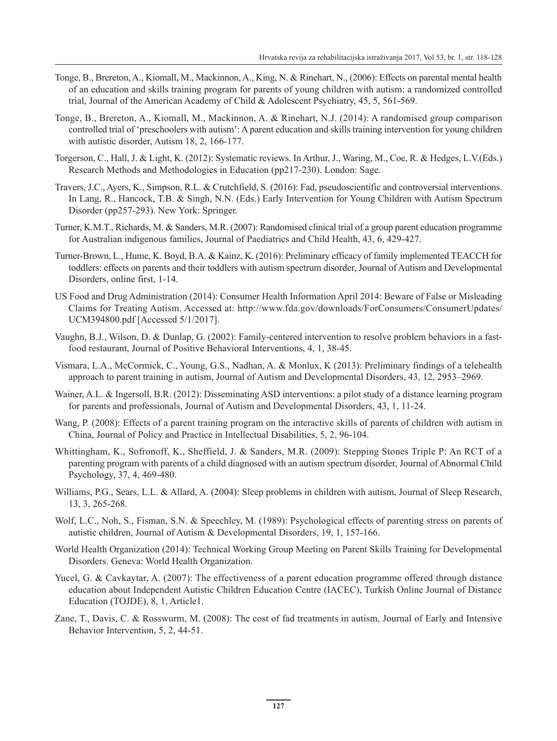- Tonge, B., Brereton, A., Kiomall, M., Mackinnon, A., King, N. & Rinehart, N., (2006): Effects on parental mental health of an education and skills training program for parents of young children with autism: a randomized controlled trial, Journal of the American Academy of Child & Adolescent Psychiatry, 45, 5, 561-569.
- Tonge, B., Brereton, A., Kiomall, M., Mackinnon, A. & Rinehart, N.J. (2014): A randomised group comparison controlled trial of 'preschoolers with autism': A parent education and skills training intervention for young children with autistic disorder, Autism 18, 2, 166-177.
- Torgerson, C., Hall, J. & Light, K. (2012): Systematic reviews. In Arthur, J., Waring, M., Coe, R. & Hedges, L.V.(Eds.) Research Methods and Methodologies in Education (pp217-230). London: Sage.
- Travers, J.C., Ayers, K., Simpson, R.L. & Crutchfield, S. (2016): Fad, pseudoscientific and controversial interventions. In Lang, R., Hancock, T.B. & Singh, N.N. (Eds.) Early Intervention for Young Children with Autism Spectrum Disorder (pp257-293). New York: Springer.
- Turner, K.M.T., Richards, M. & Sanders, M.R. (2007): Randomised clinical trial of a group parent education programme for Australian indigenous families, Journal of Paediatrics and Child Health, 43, 6, 429-427.
- Turner-Brown, L., Hume, K. Boyd, B.A. & Kainz, K. (2016): Preliminary efficacy of family implemented TEACCH for toddlers: effects on parents and their toddlers with autism spectrum disorder, Journal of Autism and Developmental Disorders, online first, 1-14.
- US Food and Drug Administration (2014): Consumer Health Information April 2014: Beware of False or Misleading Claims for Treating Autism. Accessed at: http://www.fda.gov/downloads/ForConsumers/ConsumerUpdates/ UCM394800.pdf [Accessed 5/1/2017].
- Vaughn, B.J., Wilson, D. & Dunlap, G. (2002): Family-centered intervention to resolve problem behaviors in a fastfood restaurant, Journal of Positive Behavioral Interventions, 4, 1, 38-45.
- Vismara, L.A., McCormick, C., Young, G.S., Nadhan, A. & Monlux, K (2013): Preliminary findings of a telehealth approach to parent training in autism, Journal of Autism and Developmental Disorders, 43, 12, 2953–2969.
- Wainer, A.L. & Ingersoll, B.R. (2012): Disseminating ASD interventions: a pilot study of a distance learning program for parents and professionals, Journal of Autism and Developmental Disorders, 43, 1, 11-24.
- Wang, P. (2008): Effects of a parent training program on the interactive skills of parents of children with autism in China, Journal of Policy and Practice in Intellectual Disabilities, 5, 2, 96-104.
- Whittingham, K., Sofronoff, K., Sheffield, J. & Sanders, M.R. (2009): Stepping Stones Triple P: An RCT of a parenting program with parents of a child diagnosed with an autism spectrum disorder, Journal of Abnormal Child Psychology, 37, 4, 469-480.
- Williams, P.G., Sears, L.L. & Allard, A. (2004): Sleep problems in children with autism, Journal of Sleep Research, 13, 3, 265-268.
- Wolf, L.C., Noh, S., Fisman, S.N. & Speechley, M. (1989): Psychological effects of parenting stress on parents of autistic children, Journal of Autism & Developmental Disorders, 19, 1, 157-166.
- World Health Organization (2014): Technical Working Group Meeting on Parent Skills Training for Developmental Disorders. Geneva: World Health Organization.
- Yucel, G. & Cavkaytar, A. (2007): The effectiveness of a parent education programme offered through distance education about Independent Autistic Children Education Centre (IACEC), Turkish Online Journal of Distance Education (TOJDE), 8, 1, Article1.
- Zane, T., Davis, C. & Rosswurm, M. (2008): The cost of fad treatments in autism, Journal of Early and Intensive Behavior Intervention, 5, 2, 44-51.